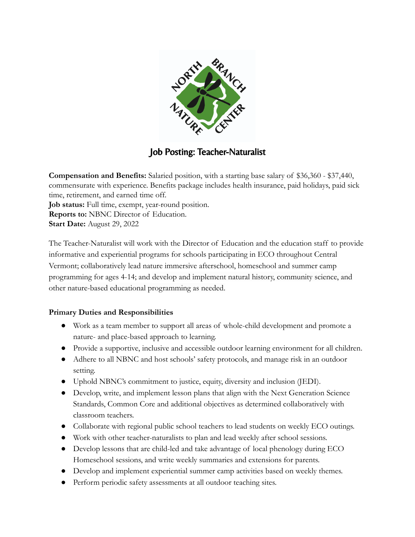

## Job Posting: Teacher-Naturalist

**Compensation and Benefits:** Salaried position, with a starting base salary of \$36,360 - \$37,440, commensurate with experience. Benefits package includes health insurance, paid holidays, paid sick time, retirement, and earned time off. **Job status:** Full time, exempt, year-round position. **Reports to:** NBNC Director of Education. **Start Date:** August 29, 2022

The Teacher-Naturalist will work with the Director of Education and the education staff to provide informative and experiential programs for schools participating in ECO throughout Central Vermont; collaboratively lead nature immersive afterschool, homeschool and summer camp programming for ages 4-14; and develop and implement natural history, community science, and other nature-based educational programming as needed.

### **Primary Duties and Responsibilities**

- Work as a team member to support all areas of whole-child development and promote a nature- and place-based approach to learning.
- Provide a supportive, inclusive and accessible outdoor learning environment for all children.
- Adhere to all NBNC and host schools' safety protocols, and manage risk in an outdoor setting.
- Uphold NBNC's commitment to justice, equity, diversity and inclusion (JEDI).
- Develop, write, and implement lesson plans that align with the Next Generation Science Standards, Common Core and additional objectives as determined collaboratively with classroom teachers.
- Collaborate with regional public school teachers to lead students on weekly ECO outings.
- Work with other teacher-naturalists to plan and lead weekly after school sessions.
- Develop lessons that are child-led and take advantage of local phenology during ECO Homeschool sessions, and write weekly summaries and extensions for parents.
- Develop and implement experiential summer camp activities based on weekly themes.
- Perform periodic safety assessments at all outdoor teaching sites.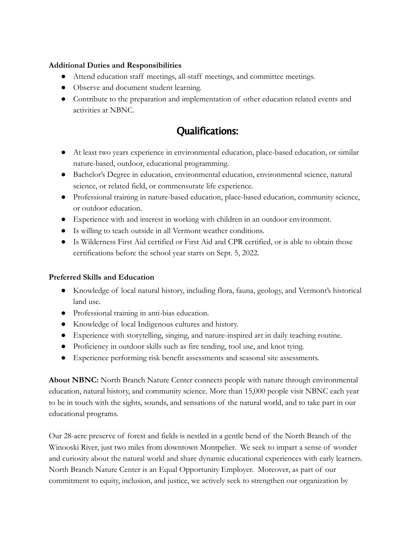#### **Additional Duties and Responsibilities**

- Attend education staff meetings, all-staff meetings, and committee meetings.
- Observe and document student learning.
- Contribute to the preparation and implementation of other education related events and activities at NBNC.

# Qualifications:

- At least two years experience in environmental education, place-based education, or similar nature-based, outdoor, educational programming.
- Bachelor's Degree in education, environmental education, environmental science, natural science, or related field, or commensurate life experience.
- Professional training in nature-based education, place-based education, community science, or outdoor education.
- Experience with and interest in working with children in an outdoor environment.
- Is willing to teach outside in all Vermont weather conditions.
- Is Wilderness First Aid certified or First Aid and CPR certified, or is able to obtain those certifications before the school year starts on Sept. 5, 2022.

### **Preferred Skills and Education**

- Knowledge of local natural history, including flora, fauna, geology, and Vermont's historical land use.
- Professional training in anti-bias education.
- Knowledge of local Indigenous cultures and history.
- Experience with storytelling, singing, and nature-inspired art in daily teaching routine.
- Proficiency in outdoor skills such as fire tending, tool use, and knot tying.
- Experience performing risk benefit assessments and seasonal site assessments.

**About NBNC:** North Branch Nature Center connects people with nature through environmental education, natural history, and community science. More than 15,000 people visit NBNC each year to be in touch with the sights, sounds, and sensations of the natural world, and to take part in our educational programs.

Our 28-acre preserve of forest and fields is nestled in a gentle bend of the North Branch of the Winooski River, just two miles from downtown Montpelier. We seek to impart a sense of wonder and curiosity about the natural world and share dynamic educational experiences with early learners. North Branch Nature Center is an Equal Opportunity Employer. Moreover, as part of our commitment to equity, inclusion, and justice, we actively seek to strengthen our organization by